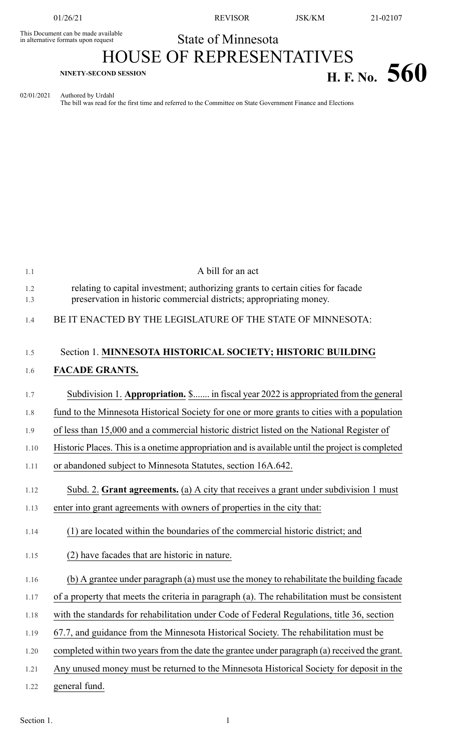This Document can be made available<br>in alternative formats upon request

01/26/21 REVISOR JSK/KM 21-02107

## State of Minnesota HOUSE OF REPRESENTATIVES

## **H. F.** No. 560

02/01/2021 Authored by Urdahl The bill was read for the first time and referred to the Committee on State Government Finance and Elections

| 1.1        | A bill for an act                                                                                                                                      |
|------------|--------------------------------------------------------------------------------------------------------------------------------------------------------|
| 1.2<br>1.3 | relating to capital investment; authorizing grants to certain cities for facade<br>preservation in historic commercial districts; appropriating money. |
| 1.4        | BE IT ENACTED BY THE LEGISLATURE OF THE STATE OF MINNESOTA:                                                                                            |
| 1.5        | Section 1. MINNESOTA HISTORICAL SOCIETY; HISTORIC BUILDING                                                                                             |
| 1.6        | <b>FACADE GRANTS.</b>                                                                                                                                  |
| 1.7        | Subdivision 1. Appropriation. \$ in fiscal year 2022 is appropriated from the general                                                                  |
| 1.8        | fund to the Minnesota Historical Society for one or more grants to cities with a population                                                            |
| 1.9        | of less than 15,000 and a commercial historic district listed on the National Register of                                                              |
| 1.10       | Historic Places. This is a onetime appropriation and is available until the project is completed                                                       |
| 1.11       | or abandoned subject to Minnesota Statutes, section 16A.642.                                                                                           |
| 1.12       | Subd. 2. Grant agreements. (a) A city that receives a grant under subdivision 1 must                                                                   |
| 1.13       | enter into grant agreements with owners of properties in the city that:                                                                                |
| 1.14       | (1) are located within the boundaries of the commercial historic district; and                                                                         |
| 1.15       | (2) have facades that are historic in nature.                                                                                                          |
| 1.16       | (b) A grantee under paragraph (a) must use the money to rehabilitate the building facade                                                               |
| 1.17       | of a property that meets the criteria in paragraph (a). The rehabilitation must be consistent                                                          |
| 1.18       | with the standards for rehabilitation under Code of Federal Regulations, title 36, section                                                             |
| 1.19       | 67.7, and guidance from the Minnesota Historical Society. The rehabilitation must be                                                                   |
| 1.20       | completed within two years from the date the grantee under paragraph (a) received the grant.                                                           |
| 1.21       | Any unused money must be returned to the Minnesota Historical Society for deposit in the                                                               |
| 1.22       | general fund.                                                                                                                                          |